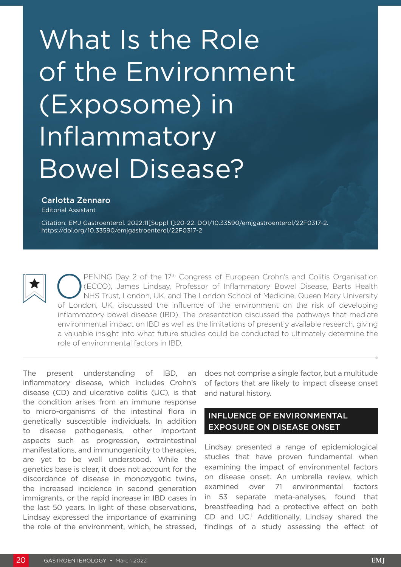# What Is the Role of the Environment (Exposome) in Inflammatory Bowel Disease?

#### Carlotta Zennaro

Editorial Assistant

Citation: EMJ Gastroenterol. 2022:11[Suppl 1]:20-22. DOI/10.33590/emjgastroenterol/22F0317-2. <https://doi.org/10.33590/emjgastroenterol/22F0317-2>



**OPENING Day 2 of the 17th Congress of European Crohn's and Colitis Organisation**<br>
(ECCO), James Lindsay, Professor of Inflammatory Bowel Disease, Barts Health<br>
NHS Trust, London, UK, and The London School of Medicine, Que (ECCO), James Lindsay, Professor of Inflammatory Bowel Disease, Barts Health of London, UK, discussed the influence of the environment on the risk of developing inflammatory bowel disease (IBD). The presentation discussed the pathways that mediate environmental impact on IBD as well as the limitations of presently available research, giving a valuable insight into what future studies could be conducted to ultimately determine the role of environmental factors in IBD.

The present understanding of IBD, an inflammatory disease, which includes Crohn's disease (CD) and ulcerative colitis (UC), is that the condition arises from an immune response to micro-organisms of the intestinal flora in genetically susceptible individuals. In addition to disease pathogenesis, other important aspects such as progression, extraintestinal manifestations, and immunogenicity to therapies, are yet to be well understood. While the genetics base is clear, it does not account for the discordance of disease in monozygotic twins, the increased incidence in second generation immigrants, or the rapid increase in IBD cases in the last 50 years. In light of these observations, Lindsay expressed the importance of examining the role of the environment, which, he stressed, does not comprise a single factor, but a multitude of factors that are likely to impact disease onset and natural history.

# INFLUENCE OF ENVIRONMENTAL EXPOSURE ON DISEASE ONSET

Lindsay presented a range of epidemiological studies that have proven fundamental when examining the impact of environmental factors on disease onset. An umbrella review, which examined over 71 environmental factors in 53 separate meta-analyses, found that breastfeeding had a protective effect on both CD and UC.<sup>1</sup> Additionally, Lindsay shared the findings of a study assessing the effect of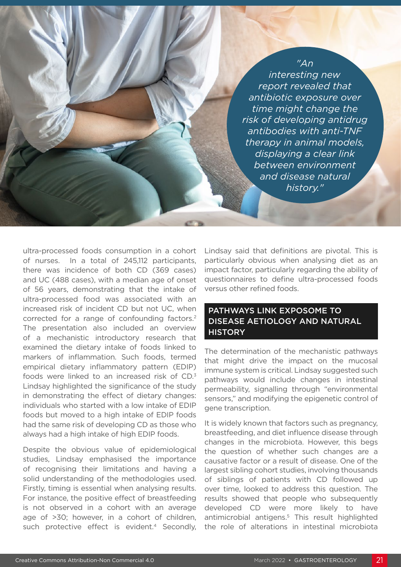### *"An*

*interesting new report revealed that antibiotic exposure over time might change the risk of developing antidrug antibodies with anti-TNF therapy in animal models, displaying a clear link between environment and disease natural history."*

ultra-processed foods consumption in a cohort of nurses. In a total of 245,112 participants, there was incidence of both CD (369 cases) and UC (488 cases), with a median age of onset of 56 years, demonstrating that the intake of ultra-processed food was associated with an increased risk of incident CD but not UC, when corrected for a range of confounding factors.2 The presentation also included an overview of a mechanistic introductory research that examined the dietary intake of foods linked to markers of inflammation. Such foods, termed empirical dietary inflammatory pattern (EDIP) foods were linked to an increased risk of CD.3 Lindsay highlighted the significance of the study in demonstrating the effect of dietary changes: individuals who started with a low intake of EDIP foods but moved to a high intake of EDIP foods had the same risk of developing CD as those who always had a high intake of high EDIP foods.

Despite the obvious value of epidemiological studies, Lindsay emphasised the importance of recognising their limitations and having a solid understanding of the methodologies used. Firstly, timing is essential when analysing results. For instance, the positive effect of breastfeeding is not observed in a cohort with an average age of >30; however, in a cohort of children, such protective effect is evident.<sup>4</sup> Secondly,

Lindsay said that definitions are pivotal. This is particularly obvious when analysing diet as an impact factor, particularly regarding the ability of questionnaires to define ultra-processed foods versus other refined foods.

# PATHWAYS LINK EXPOSOME TO DISEASE AETIOLOGY AND NATURAL **HISTORY**

The determination of the mechanistic pathways that might drive the impact on the mucosal immune system is critical. Lindsay suggested such pathways would include changes in intestinal permeability, signalling through "environmental sensors," and modifying the epigenetic control of gene transcription.

It is widely known that factors such as pregnancy, breastfeeding, and diet influence disease through changes in the microbiota. However, this begs the question of whether such changes are a causative factor or a result of disease. One of the largest sibling cohort studies, involving thousands of siblings of patients with CD followed up over time, looked to address this question. The results showed that people who subsequently developed CD were more likely to have antimicrobial antigens.5 This result highlighted the role of alterations in intestinal microbiota